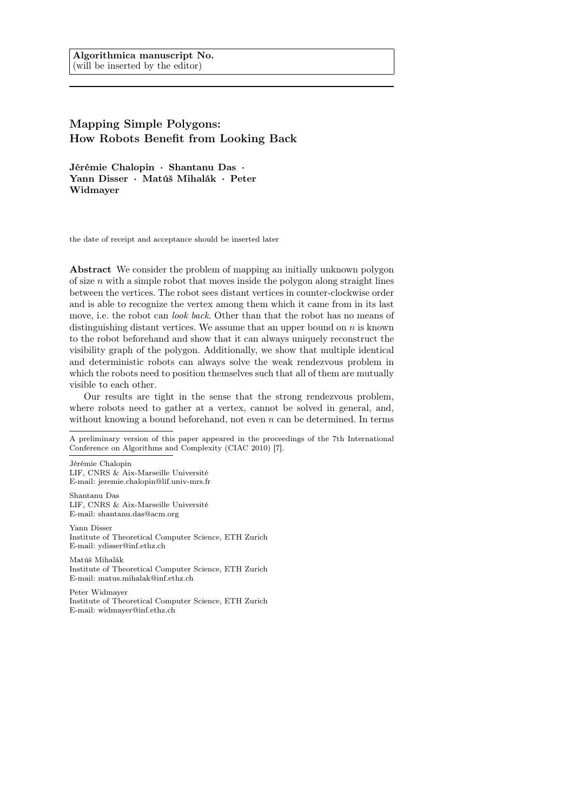# Mapping Simple Polygons: How Robots Benefit from Looking Back

Jérémie Chalopin *·* Shantanu Das *·* Yann Disser *·* Matúš Mihalák *·* Peter Widmayer

the date of receipt and acceptance should be inserted later

Abstract We consider the problem of mapping an initially unknown polygon of size  $n$  with a simple robot that moves inside the polygon along straight lines between the vertices. The robot sees distant vertices in counter-clockwise order and is able to recognize the vertex among them which it came from in its last move, i.e. the robot can *look back*. Other than that the robot has no means of distinguishing distant vertices. We assume that an upper bound on  $n$  is known to the robot beforehand and show that it can always uniquely reconstruct the visibility graph of the polygon. Additionally, we show that multiple identical and deterministic robots can always solve the weak rendezvous problem in which the robots need to position themselves such that all of them are mutually visible to each other.

Our results are tight in the sense that the strong rendezvous problem, where robots need to gather at a vertex, cannot be solved in general, and, without knowing a bound beforehand, not even  $n$  can be determined. In terms

Jérémie Chalopin LIF, CNRS & Aix-Marseille Université E-mail: jeremie.chalopin@lif.univ-mrs.fr

Shantanu Das LIF, CNRS & Aix-Marseille Université E-mail: shantanu.das@acm.org

Yann Disser Institute of Theoretical Computer Science, ETH Zurich E-mail: ydisser@inf.ethz.ch

Matúš Mihalák Institute of Theoretical Computer Science, ETH Zurich E-mail: matus.mihalak@inf.ethz.ch

Peter Widmayer Institute of Theoretical Computer Science, ETH Zurich E-mail: widmayer@inf.ethz.ch

A preliminary version of this paper appeared in the proceedings of the 7th International Conference on Algorithms and Complexity (CIAC 2010) [7].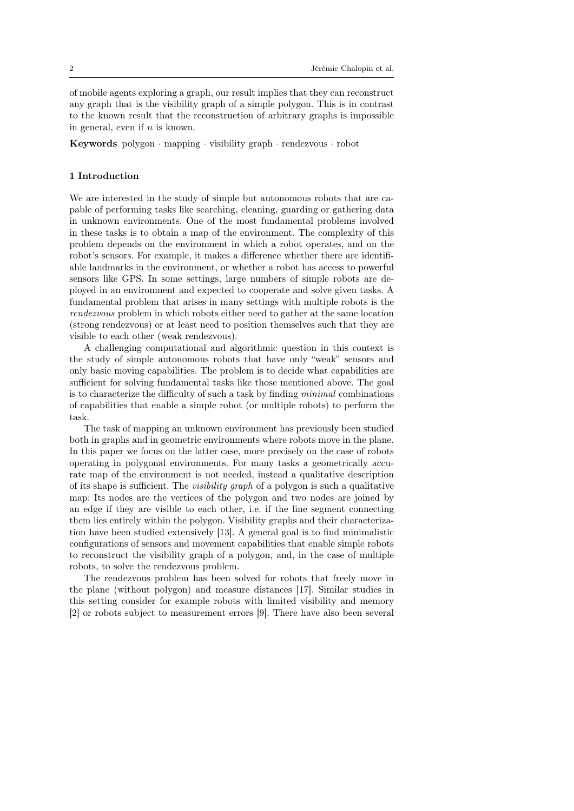of mobile agents exploring a graph, our result implies that they can reconstruct any graph that is the visibility graph of a simple polygon. This is in contrast to the known result that the reconstruction of arbitrary graphs is impossible in general, even if  $n$  is known.

Keywords polygon · mapping · visibility graph · rendezvous · robot

## 1 Introduction

We are interested in the study of simple but autonomous robots that are capable of performing tasks like searching, cleaning, guarding or gathering data in unknown environments. One of the most fundamental problems involved in these tasks is to obtain a map of the environment. The complexity of this problem depends on the environment in which a robot operates, and on the robot's sensors. For example, it makes a difference whether there are identifiable landmarks in the environment, or whether a robot has access to powerful sensors like GPS. In some settings, large numbers of simple robots are deployed in an environment and expected to cooperate and solve given tasks. A fundamental problem that arises in many settings with multiple robots is the rendezvous problem in which robots either need to gather at the same location (strong rendezvous) or at least need to position themselves such that they are visible to each other (weak rendezvous).

A challenging computational and algorithmic question in this context is the study of simple autonomous robots that have only "weak" sensors and only basic moving capabilities. The problem is to decide what capabilities are sufficient for solving fundamental tasks like those mentioned above. The goal is to characterize the difficulty of such a task by finding minimal combinations of capabilities that enable a simple robot (or multiple robots) to perform the task.

The task of mapping an unknown environment has previously been studied both in graphs and in geometric environments where robots move in the plane. In this paper we focus on the latter case, more precisely on the case of robots operating in polygonal environments. For many tasks a geometrically accurate map of the environment is not needed, instead a qualitative description of its shape is sufficient. The visibility graph of a polygon is such a qualitative map: Its nodes are the vertices of the polygon and two nodes are joined by an edge if they are visible to each other, i.e. if the line segment connecting them lies entirely within the polygon. Visibility graphs and their characterization have been studied extensively [13]. A general goal is to find minimalistic configurations of sensors and movement capabilities that enable simple robots to reconstruct the visibility graph of a polygon, and, in the case of multiple robots, to solve the rendezvous problem.

The rendezvous problem has been solved for robots that freely move in the plane (without polygon) and measure distances [17]. Similar studies in this setting consider for example robots with limited visibility and memory [2] or robots subject to measurement errors [9]. There have also been several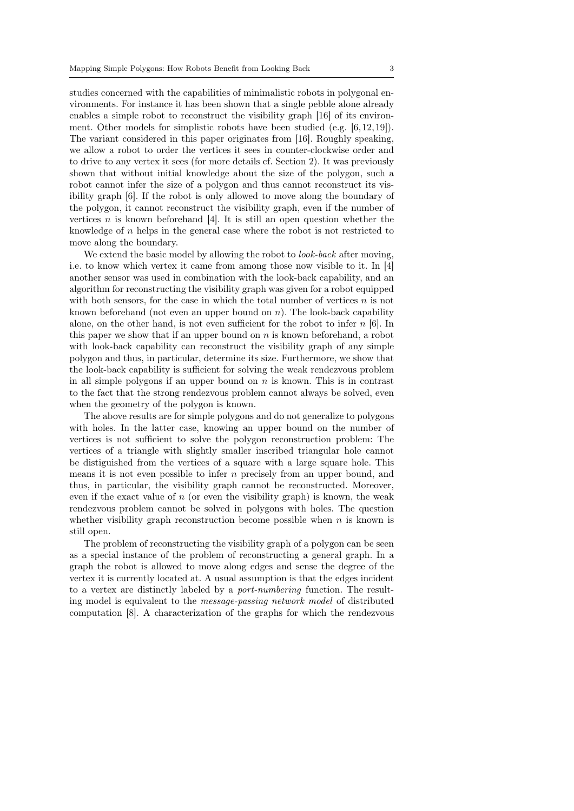studies concerned with the capabilities of minimalistic robots in polygonal environments. For instance it has been shown that a single pebble alone already enables a simple robot to reconstruct the visibility graph [16] of its environment. Other models for simplistic robots have been studied (e.g. [6, 12, 19]). The variant considered in this paper originates from [16]. Roughly speaking, we allow a robot to order the vertices it sees in counter-clockwise order and to drive to any vertex it sees (for more details cf. Section 2). It was previously shown that without initial knowledge about the size of the polygon, such a robot cannot infer the size of a polygon and thus cannot reconstruct its visibility graph [6]. If the robot is only allowed to move along the boundary of the polygon, it cannot reconstruct the visibility graph, even if the number of vertices  $n$  is known beforehand [4]. It is still an open question whether the knowledge of n helps in the general case where the robot is not restricted to move along the boundary.

We extend the basic model by allowing the robot to *look-back* after moving, i.e. to know which vertex it came from among those now visible to it. In [4] another sensor was used in combination with the look-back capability, and an algorithm for reconstructing the visibility graph was given for a robot equipped with both sensors, for the case in which the total number of vertices  $n$  is not known beforehand (not even an upper bound on  $n$ ). The look-back capability alone, on the other hand, is not even sufficient for the robot to infer  $n$  [6]. In this paper we show that if an upper bound on  $n$  is known beforehand, a robot with look-back capability can reconstruct the visibility graph of any simple polygon and thus, in particular, determine its size. Furthermore, we show that the look-back capability is sufficient for solving the weak rendezvous problem in all simple polygons if an upper bound on  $n$  is known. This is in contrast to the fact that the strong rendezvous problem cannot always be solved, even when the geometry of the polygon is known.

The above results are for simple polygons and do not generalize to polygons with holes. In the latter case, knowing an upper bound on the number of vertices is not sufficient to solve the polygon reconstruction problem: The vertices of a triangle with slightly smaller inscribed triangular hole cannot be distiguished from the vertices of a square with a large square hole. This means it is not even possible to infer  $n$  precisely from an upper bound, and thus, in particular, the visibility graph cannot be reconstructed. Moreover, even if the exact value of  $n$  (or even the visibility graph) is known, the weak rendezvous problem cannot be solved in polygons with holes. The question whether visibility graph reconstruction become possible when  $n$  is known is still open.

The problem of reconstructing the visibility graph of a polygon can be seen as a special instance of the problem of reconstructing a general graph. In a graph the robot is allowed to move along edges and sense the degree of the vertex it is currently located at. A usual assumption is that the edges incident to a vertex are distinctly labeled by a port-numbering function. The resulting model is equivalent to the message-passing network model of distributed computation [8]. A characterization of the graphs for which the rendezvous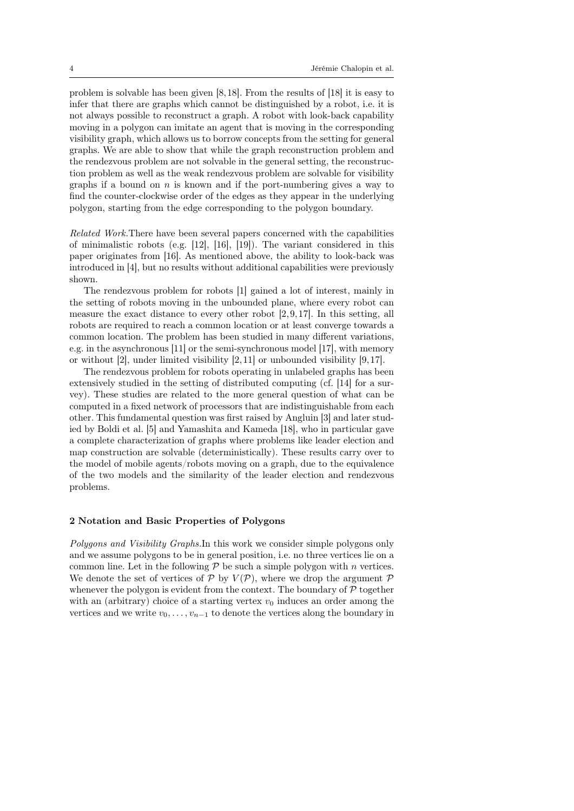problem is solvable has been given [8, 18]. From the results of [18] it is easy to infer that there are graphs which cannot be distinguished by a robot, i.e. it is not always possible to reconstruct a graph. A robot with look-back capability moving in a polygon can imitate an agent that is moving in the corresponding visibility graph, which allows us to borrow concepts from the setting for general graphs. We are able to show that while the graph reconstruction problem and the rendezvous problem are not solvable in the general setting, the reconstruction problem as well as the weak rendezvous problem are solvable for visibility graphs if a bound on  $n$  is known and if the port-numbering gives a way to find the counter-clockwise order of the edges as they appear in the underlying polygon, starting from the edge corresponding to the polygon boundary.

Related Work.There have been several papers concerned with the capabilities of minimalistic robots (e.g. [12], [16], [19]). The variant considered in this paper originates from [16]. As mentioned above, the ability to look-back was introduced in [4], but no results without additional capabilities were previously shown.

The rendezvous problem for robots [1] gained a lot of interest, mainly in the setting of robots moving in the unbounded plane, where every robot can measure the exact distance to every other robot [2, 9, 17]. In this setting, all robots are required to reach a common location or at least converge towards a common location. The problem has been studied in many different variations, e.g. in the asynchronous [11] or the semi-synchronous model [17], with memory or without [2], under limited visibility [2, 11] or unbounded visibility [9, 17].

The rendezvous problem for robots operating in unlabeled graphs has been extensively studied in the setting of distributed computing (cf. [14] for a survey). These studies are related to the more general question of what can be computed in a fixed network of processors that are indistinguishable from each other. This fundamental question was first raised by Angluin [3] and later studied by Boldi et al. [5] and Yamashita and Kameda [18], who in particular gave a complete characterization of graphs where problems like leader election and map construction are solvable (deterministically). These results carry over to the model of mobile agents/robots moving on a graph, due to the equivalence of the two models and the similarity of the leader election and rendezvous problems.

## 2 Notation and Basic Properties of Polygons

Polygons and Visibility Graphs.In this work we consider simple polygons only and we assume polygons to be in general position, i.e. no three vertices lie on a common line. Let in the following  $P$  be such a simple polygon with n vertices. We denote the set of vertices of  $P$  by  $V(P)$ , where we drop the argument  $P$ whenever the polygon is evident from the context. The boundary of  $P$  together with an (arbitrary) choice of a starting vertex  $v_0$  induces an order among the vertices and we write  $v_0, \ldots, v_{n-1}$  to denote the vertices along the boundary in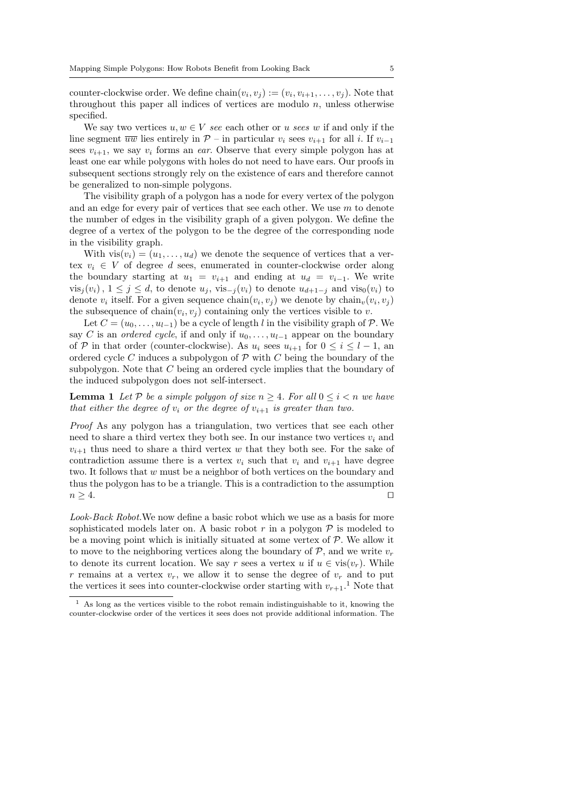counter-clockwise order. We define  $chain(v_i, v_j) := (v_i, v_{i+1}, \ldots, v_j)$ . Note that throughout this paper all indices of vertices are modulo  $n$ , unless otherwise specified.

We say two vertices  $u, w \in V$  see each other or u sees w if and only if the line segment  $\overline{uw}$  lies entirely in  $\mathcal{P}$  – in particular  $v_i$  sees  $v_{i+1}$  for all i. If  $v_{i-1}$ sees  $v_{i+1}$ , we say  $v_i$  forms an *ear*. Observe that every simple polygon has at least one ear while polygons with holes do not need to have ears. Our proofs in subsequent sections strongly rely on the existence of ears and therefore cannot be generalized to non-simple polygons.

The visibility graph of a polygon has a node for every vertex of the polygon and an edge for every pair of vertices that see each other. We use  $m$  to denote the number of edges in the visibility graph of a given polygon. We define the degree of a vertex of the polygon to be the degree of the corresponding node in the visibility graph.

With  $vis(v_i)=(u_1, \ldots, u_d)$  we denote the sequence of vertices that a vertex  $v_i \in V$  of degree d sees, enumerated in counter-clockwise order along the boundary starting at  $u_1 = v_{i+1}$  and ending at  $u_d = v_{i-1}$ . We write  $vis_j(v_i)$ ,  $1 \le j \le d$ , to denote  $u_j$ ,  $vis_{-j}(v_i)$  to denote  $u_{d+1-j}$  and  $vis_0(v_i)$  to denote  $v_i$  itself. For a given sequence chain $(v_i, v_j)$  we denote by chain<sub>v</sub> $(v_i, v_j)$ the subsequence of chain $(v_i, v_j)$  containing only the vertices visible to v.

Let  $C = (u_0, \ldots, u_{l-1})$  be a cycle of length l in the visibility graph of P. We say C is an *ordered cycle*, if and only if  $u_0, \ldots, u_{l-1}$  appear on the boundary of P in that order (counter-clockwise). As  $u_i$  sees  $u_{i+1}$  for  $0 \le i \le l-1$ , an ordered cycle C induces a subpolygon of  $P$  with C being the boundary of the subpolygon. Note that C being an ordered cycle implies that the boundary of the induced subpolygon does not self-intersect.

**Lemma 1** Let P be a simple polygon of size  $n > 4$ . For all  $0 \le i \le n$  we have that either the degree of  $v_i$  or the degree of  $v_{i+1}$  is greater than two.

Proof As any polygon has a triangulation, two vertices that see each other need to share a third vertex they both see. In our instance two vertices  $v_i$  and  $v_{i+1}$  thus need to share a third vertex w that they both see. For the sake of contradiction assume there is a vertex  $v_i$  such that  $v_i$  and  $v_{i+1}$  have degree two. It follows that w must be a neighbor of both vertices on the boundary and thus the polygon has to be a triangle. This is a contradiction to the assumption  $n \geq 4.$ 

Look-Back Robot.We now define a basic robot which we use as a basis for more sophisticated models later on. A basic robot r in a polygon  $P$  is modeled to be a moving point which is initially situated at some vertex of  $P$ . We allow it to move to the neighboring vertices along the boundary of  $P$ , and we write  $v_r$ to denote its current location. We say r sees a vertex u if  $u \in \text{vis}(v_r)$ . While r remains at a vertex  $v_r$ , we allow it to sense the degree of  $v_r$  and to put the vertices it sees into counter-clockwise order starting with  $v_{r+1}$ <sup>1</sup>. Note that

<sup>1</sup> As long as the vertices visible to the robot remain indistinguishable to it, knowing the counter-clockwise order of the vertices it sees does not provide additional information. The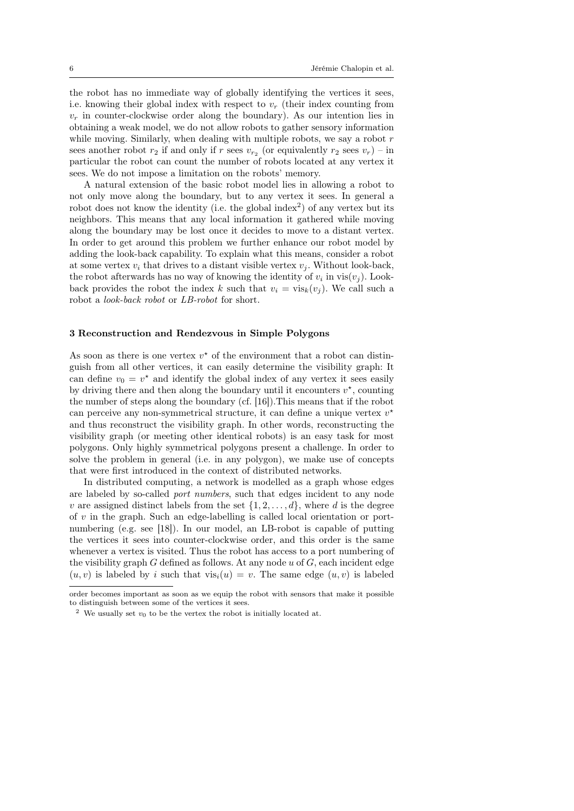the robot has no immediate way of globally identifying the vertices it sees, i.e. knowing their global index with respect to  $v_r$  (their index counting from  $v_r$  in counter-clockwise order along the boundary). As our intention lies in obtaining a weak model, we do not allow robots to gather sensory information while moving. Similarly, when dealing with multiple robots, we say a robot  $r$ sees another robot  $r_2$  if and only if r sees  $v_{r_2}$  (or equivalently  $r_2$  sees  $v_r$ ) – in particular the robot can count the number of robots located at any vertex it sees. We do not impose a limitation on the robots' memory.

A natural extension of the basic robot model lies in allowing a robot to not only move along the boundary, but to any vertex it sees. In general a robot does not know the identity (i.e. the global index<sup>2</sup>) of any vertex but its neighbors. This means that any local information it gathered while moving along the boundary may be lost once it decides to move to a distant vertex. In order to get around this problem we further enhance our robot model by adding the look-back capability. To explain what this means, consider a robot at some vertex  $v_i$  that drives to a distant visible vertex  $v_j$ . Without look-back, the robot afterwards has no way of knowing the identity of  $v_i$  in vis $(v_i)$ . Lookback provides the robot the index k such that  $v_i = \text{vis}_k(v_i)$ . We call such a robot a look-back robot or LB-robot for short.

# 3 Reconstruction and Rendezvous in Simple Polygons

As soon as there is one vertex  $v^*$  of the environment that a robot can distinguish from all other vertices, it can easily determine the visibility graph: It can define  $v_0 = v^*$  and identify the global index of any vertex it sees easily by driving there and then along the boundary until it encounters  $v^*$ , counting the number of steps along the boundary (cf. [16]).This means that if the robot can perceive any non-symmetrical structure, it can define a unique vertex  $v^*$ and thus reconstruct the visibility graph. In other words, reconstructing the visibility graph (or meeting other identical robots) is an easy task for most polygons. Only highly symmetrical polygons present a challenge. In order to solve the problem in general (i.e. in any polygon), we make use of concepts that were first introduced in the context of distributed networks.

In distributed computing, a network is modelled as a graph whose edges are labeled by so-called port numbers, such that edges incident to any node v are assigned distinct labels from the set  $\{1, 2, \ldots, d\}$ , where d is the degree of v in the graph. Such an edge-labelling is called local orientation or portnumbering (e.g. see [18]). In our model, an LB-robot is capable of putting the vertices it sees into counter-clockwise order, and this order is the same whenever a vertex is visited. Thus the robot has access to a port numbering of the visibility graph  $G$  defined as follows. At any node  $u$  of  $G$ , each incident edge  $(u, v)$  is labeled by i such that  $vis_i(u) = v$ . The same edge  $(u, v)$  is labeled

order becomes important as soon as we equip the robot with sensors that make it possible to distinguish between some of the vertices it sees.

<sup>&</sup>lt;sup>2</sup> We usually set  $v_0$  to be the vertex the robot is initially located at.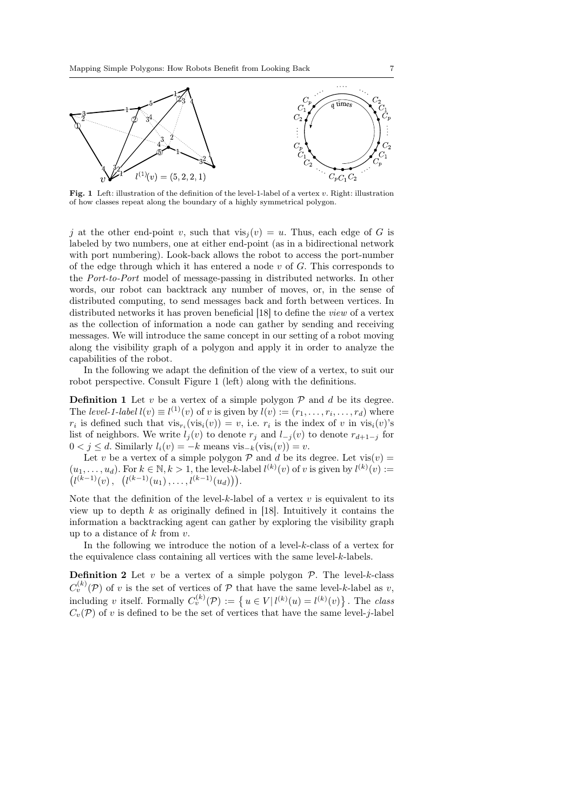

Fig. 1 Left: illustration of the definition of the level-1-label of a vertex *v*. Right: illustration of how classes repeat along the boundary of a highly symmetrical polygon.

j at the other end-point v, such that  $vis_i(v) = u$ . Thus, each edge of G is labeled by two numbers, one at either end-point (as in a bidirectional network with port numbering). Look-back allows the robot to access the port-number of the edge through which it has entered a node  $v$  of  $G$ . This corresponds to the Port-to-Port model of message-passing in distributed networks. In other words, our robot can backtrack any number of moves, or, in the sense of distributed computing, to send messages back and forth between vertices. In distributed networks it has proven beneficial [18] to define the view of a vertex as the collection of information a node can gather by sending and receiving messages. We will introduce the same concept in our setting of a robot moving along the visibility graph of a polygon and apply it in order to analyze the capabilities of the robot.

In the following we adapt the definition of the view of a vertex, to suit our robot perspective. Consult Figure 1 (left) along with the definitions.

**Definition 1** Let v be a vertex of a simple polygon  $\mathcal{P}$  and d be its degree. The level-1-label  $l(v) \equiv l^{(1)}(v)$  of v is given by  $l(v) := (r_1, \ldots, r_i, \ldots, r_d)$  where  $r_i$  is defined such that  $\text{vis}_{r_i}(\text{vis}_i(v)) = v$ , i.e.  $r_i$  is the index of v in  $\text{vis}_i(v)$ 's list of neighbors. We write  $l_j(v)$  to denote  $r_j$  and  $l_{-j}(v)$  to denote  $r_{d+1-j}$  for  $0 < j \leq d$ . Similarly  $l_i(v) = -k$  means vis<sub>-k</sub>(vis<sub>i</sub>(v)) = v.

Let v be a vertex of a simple polygon  $P$  and d be its degree. Let vis $(v)$  =  $(u_1, \ldots, u_d)$ . For  $k \in \mathbb{N}, k > 1$ , the level-k-label  $l^{(k)}(v)$  of v is given by  $l^{(k)}(v) :=$  $(l^{(k-1)}(v), (l^{(k-1)}(u_1), \ldots, l^{(k-1)}(u_d))).$ 

Note that the definition of the level-k-label of a vertex  $v$  is equivalent to its view up to depth  $k$  as originally defined in [18]. Intuitively it contains the information a backtracking agent can gather by exploring the visibility graph up to a distance of  $k$  from  $v$ .

In the following we introduce the notion of a level-k-class of a vertex for the equivalence class containing all vertices with the same level-k-labels.

**Definition 2** Let v be a vertex of a simple polygon  $P$ . The level-k-class  $C_v^{(k)}(\mathcal{P})$  of v is the set of vertices of  $\mathcal P$  that have the same level-k-label as v, including v itself. Formally  $C_v^{(k)}(\mathcal{P}) := \{ u \in V | l^{(k)}(u) = l^{(k)}(v) \}$ . The class  $C_v(\mathcal{P})$  of v is defined to be the set of vertices that have the same level-j-label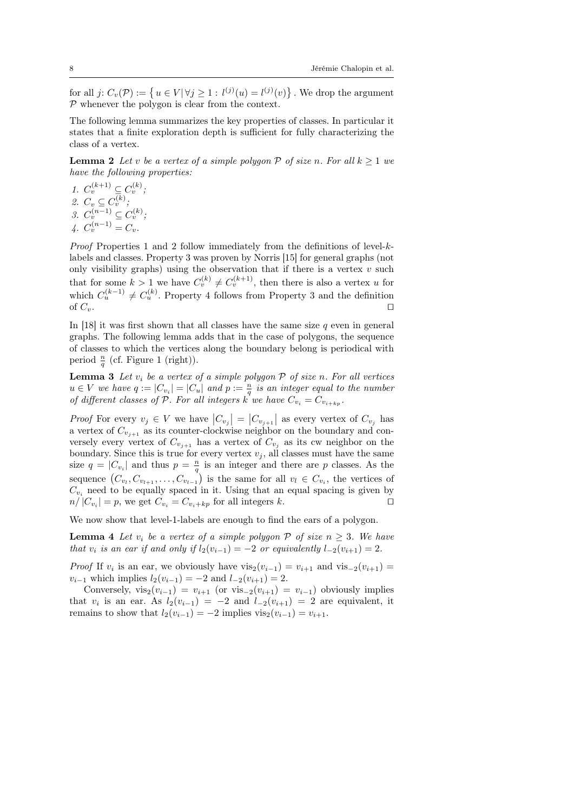for all  $j: C_v(\mathcal{P}) := \{ u \in V | \forall j \geq 1 : l^{(j)}(u) = l^{(j)}(v) \}$ . We drop the argument  $P$  whenever the polygon is clear from the context.

The following lemma summarizes the key properties of classes. In particular it states that a finite exploration depth is sufficient for fully characterizing the class of a vertex.

**Lemma 2** Let v be a vertex of a simple polygon  $P$  of size n. For all  $k \geq 1$  we have the following properties:

1.  $C_v^{(k+1)} \subseteq C_v^{(k)}$ ; 2.  $C_v \subseteq C_v^{(k)}$ ; 3.  $C_v^{(n-1)} \subseteq C_v^{(k)}$ ; 4.  $C_v^{(n-1)} = C_v$ .

Proof Properties 1 and 2 follow immediately from the definitions of level-klabels and classes. Property 3 was proven by Norris [15] for general graphs (not only visibility graphs) using the observation that if there is a vertex  $v$  such that for some  $k > 1$  we have  $C_v^{(k)} \neq C_v^{(k+1)}$ , then there is also a vertex u for which  $C_u^{(k-1)} \neq C_u^{(k)}$ . Property 4 follows from Property 3 and the definition of  $C_v$ .

In [18] it was first shown that all classes have the same size  $q$  even in general graphs. The following lemma adds that in the case of polygons, the sequence of classes to which the vertices along the boundary belong is periodical with period  $\frac{n}{q}$  (cf. Figure 1 (right)).

**Lemma 3** Let  $v_i$  be a vertex of a simple polygon  $P$  of size n. For all vertices  $u \in V$  we have  $q := |C_{v_i}| = |C_u|$  and  $p := \frac{n}{q}$  is an integer equal to the number of different classes of P. For all integers  $k$  we have  $C_{v_i} = C_{v_{i+k_p}}$ .

*Proof* For every  $v_j \in V$  we have  $|C_{v_j}| = |C_{v_{j+1}}|$  as every vertex of  $C_{v_j}$  has a vertex of  $C_{v_{i+1}}$  as its counter-clockwise neighbor on the boundary and conversely every vertex of  $C_{v_{j+1}}$  has a vertex of  $C_{v_j}$  as its cw neighbor on the boundary. Since this is true for every vertex  $v_j$ , all classes must have the same size  $q = |C_{v_i}|$  and thus  $p = \frac{n}{q}$  is an integer and there are p classes. As the sequence  $(C_{v_l}, C_{v_{l+1}}, \ldots, C_{v_{l-1}})$  is the same for all  $v_l \in C_{v_i}$ , the vertices of  $C_{v_i}$  need to be equally spaced in it. Using that an equal spacing is given by  $n/|C_{v_i}| = p$ , we get  $C_{v_i} = C_{v_i+kp}$  for all integers k.

We now show that level-1-labels are enough to find the ears of a polygon.

**Lemma 4** Let  $v_i$  be a vertex of a simple polygon  $P$  of size  $n \geq 3$ . We have that  $v_i$  is an ear if and only if  $l_2(v_{i-1}) = -2$  or equivalently  $l_{-2}(v_{i+1}) = 2$ .

*Proof* If  $v_i$  is an ear, we obviously have  $vis_2(v_{i-1}) = v_{i+1}$  and  $vis_{-2}(v_{i+1}) =$  $v_{i-1}$  which implies  $l_2(v_{i-1}) = -2$  and  $l_{-2}(v_{i+1})=2$ .

Conversely,  $vis_2(v_{i-1}) = v_{i+1}$  (or  $vis_{-2}(v_{i+1}) = v_{i-1}$ ) obviously implies that  $v_i$  is an ear. As  $l_2(v_{i-1}) = -2$  and  $l_{-2}(v_{i+1}) = 2$  are equivalent, it remains to show that  $l_2(v_{i-1}) = -2$  implies  $vis_2(v_{i-1}) = v_{i+1}$ .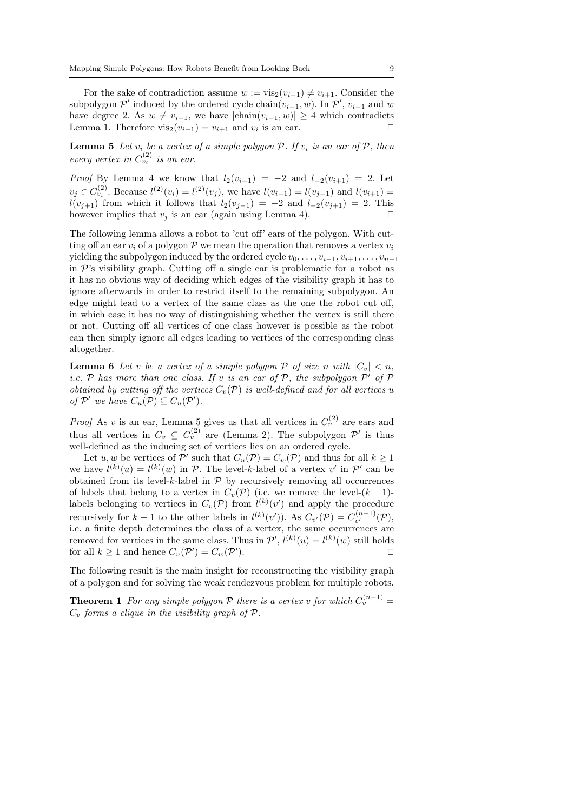For the sake of contradiction assume  $w := \text{vis}_2(v_{i-1}) \neq v_{i+1}$ . Consider the subpolygon  $\mathcal{P}'$  induced by the ordered cycle chain $(v_{i-1}, w)$ . In  $\mathcal{P}'$ ,  $v_{i-1}$  and w have degree 2. As  $w \neq v_{i+1}$ , we have  $|chain(v_{i-1}, w)| \geq 4$  which contradicts Lemma 1. Therefore  $vis_{\alpha}(v_{i-1}) = v_{i+1}$  and  $v_i$  is an ear Lemma 1. Therefore  $vis_2(v_{i-1}) = v_{i+1}$  and  $v_i$  is an ear.

**Lemma 5** Let  $v_i$  be a vertex of a simple polygon  $P$ . If  $v_i$  is an ear of  $P$ , then every vertex in  $C_{v_i}^{(2)}$  is an ear.

*Proof* By Lemma 4 we know that  $l_2(v_{i-1}) = -2$  and  $l_{-2}(v_{i+1}) = 2$ . Let  $v_j \in C_{v_i}^{(2)}$ . Because  $l^{(2)}(v_i) = l^{(2)}(v_j)$ , we have  $l(v_{i-1}) = l(v_{j-1})$  and  $l(v_{i+1}) =$  $l(v_{j+1})$  from which it follows that  $l_2(v_{j-1}) = -2$  and  $l_{-2}(v_{j+1}) = 2$ . This however implies that  $v_j$  is an ear (again using Lemma 4).

The following lemma allows a robot to 'cut off' ears of the polygon. With cutting off an ear  $v_i$  of a polygon P we mean the operation that removes a vertex  $v_i$ yielding the subpolygon induced by the ordered cycle  $v_0, \ldots, v_{i-1}, v_{i+1}, \ldots, v_{n-1}$ in  $\mathcal{P}$ 's visibility graph. Cutting off a single ear is problematic for a robot as it has no obvious way of deciding which edges of the visibility graph it has to ignore afterwards in order to restrict itself to the remaining subpolygon. An edge might lead to a vertex of the same class as the one the robot cut off, in which case it has no way of distinguishing whether the vertex is still there or not. Cutting off all vertices of one class however is possible as the robot can then simply ignore all edges leading to vertices of the corresponding class altogether.

**Lemma 6** Let v be a vertex of a simple polygon  $P$  of size n with  $|C_v| < n$ , i.e. P has more than one class. If v is an ear of P, the subpolygon  $P'$  of P obtained by cutting off the vertices  $C_v(\mathcal{P})$  is well-defined and for all vertices u of  $\mathcal{P}'$  we have  $C_u(\mathcal{P}) \subseteq C_u(\mathcal{P}')$ .

*Proof* As v is an ear, Lemma 5 gives us that all vertices in  $C_v^{(2)}$  are ears and thus all vertices in  $C_v \subseteq C_v^{(2)}$  are (Lemma 2). The subpolygon  $\mathcal{P}'$  is thus well-defined as the inducing set of vertices lies on an ordered cycle.

Let u, w be vertices of P' such that  $C_u(\mathcal{P}) = C_w(\mathcal{P})$  and thus for all  $k \geq 1$ we have  $l^{(k)}(u) = l^{(k)}(w)$  in P. The level-k-label of a vertex v' in P' can be obtained from its level-k-label in  $P$  by recursively removing all occurrences of labels that belong to a vertex in  $C_v(\mathcal{P})$  (i.e. we remove the level- $(k-1)$ labels belonging to vertices in  $C_v(\mathcal{P})$  from  $l^{(k)}(v')$  and apply the procedure recursively for  $k-1$  to the other labels in  $l^{(k)}(v')$ ). As  $C_{v'}(\mathcal{P}) = C_{v'}^{(n-1)}(\mathcal{P}),$ i.e. a finite depth determines the class of a vertex, the same occurrences are removed for vertices in the same class. Thus in  $\mathcal{P}', l^{(k)}(u) = l^{(k)}(w)$  still holds for all  $k \geq 1$  and hence  $C_u(\mathcal{P}') = C_w(\mathcal{P}')$ ).  $\Box$ 

The following result is the main insight for reconstructing the visibility graph of a polygon and for solving the weak rendezvous problem for multiple robots.

**Theorem 1** For any simple polygon P there is a vertex v for which  $C_v^{(n-1)}$  =  $C_v$  forms a clique in the visibility graph of  $\mathcal P$ .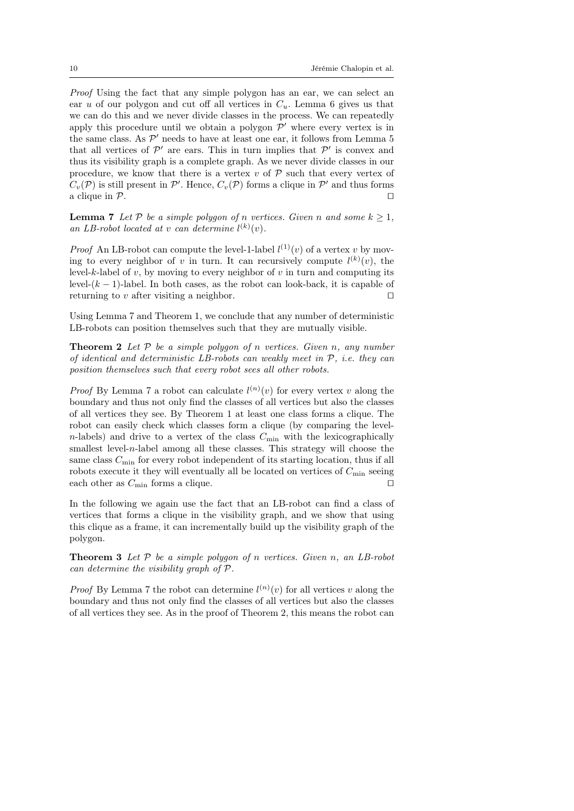Proof Using the fact that any simple polygon has an ear, we can select an ear u of our polygon and cut off all vertices in  $C_u$ . Lemma 6 gives us that we can do this and we never divide classes in the process. We can repeatedly apply this procedure until we obtain a polygon  $\mathcal{P}'$  where every vertex is in the same class. As  $\mathcal{P}'$  needs to have at least one ear, it follows from Lemma 5 that all vertices of  $\mathcal{P}'$  are ears. This in turn implies that  $\mathcal{P}'$  is convex and thus its visibility graph is a complete graph. As we never divide classes in our procedure, we know that there is a vertex v of  $P$  such that every vertex of  $C_v(\mathcal{P})$  is still present in  $\mathcal{P}'$ . Hence,  $C_v(\mathcal{P})$  forms a clique in  $\mathcal{P}'$  and thus forms a clique in  $\mathcal{P}$ .

**Lemma 7** Let P be a simple polygon of n vertices. Given n and some  $k \geq 1$ , an LB-robot located at v can determine  $l^{(k)}(v)$ .

*Proof* An LB-robot can compute the level-1-label  $l^{(1)}(v)$  of a vertex v by moving to every neighbor of v in turn. It can recursively compute  $l^{(k)}(v)$ , the level-k-label of  $v$ , by moving to every neighbor of  $v$  in turn and computing its level-(k − 1)-label. In both cases, as the robot can look-back, it is capable of returning to v after visiting a neighbor. returning to  $v$  after visiting a neighbor.

Using Lemma 7 and Theorem 1, we conclude that any number of deterministic LB-robots can position themselves such that they are mutually visible.

**Theorem 2** Let  $P$  be a simple polygon of n vertices. Given n, any number of identical and deterministic LB-robots can weakly meet in  $P$ , i.e. they can position themselves such that every robot sees all other robots.

*Proof* By Lemma 7 a robot can calculate  $l^{(n)}(v)$  for every vertex v along the boundary and thus not only find the classes of all vertices but also the classes of all vertices they see. By Theorem 1 at least one class forms a clique. The robot can easily check which classes form a clique (by comparing the level $n$ -labels) and drive to a vertex of the class  $C_{\text{min}}$  with the lexicographically smallest level-*n*-label among all these classes. This strategy will choose the same class  $C_{\text{min}}$  for every robot independent of its starting location, thus if all robots execute it they will eventually all be located on vertices of  $C_{\text{min}}$  seeing each other as  $C_{\min}$  forms a clique.

In the following we again use the fact that an LB-robot can find a class of vertices that forms a clique in the visibility graph, and we show that using this clique as a frame, it can incrementally build up the visibility graph of the polygon.

**Theorem 3** Let  $P$  be a simple polygon of n vertices. Given n, an LB-robot can determine the visibility graph of P.

*Proof* By Lemma 7 the robot can determine  $l^{(n)}(v)$  for all vertices v along the boundary and thus not only find the classes of all vertices but also the classes of all vertices they see. As in the proof of Theorem 2, this means the robot can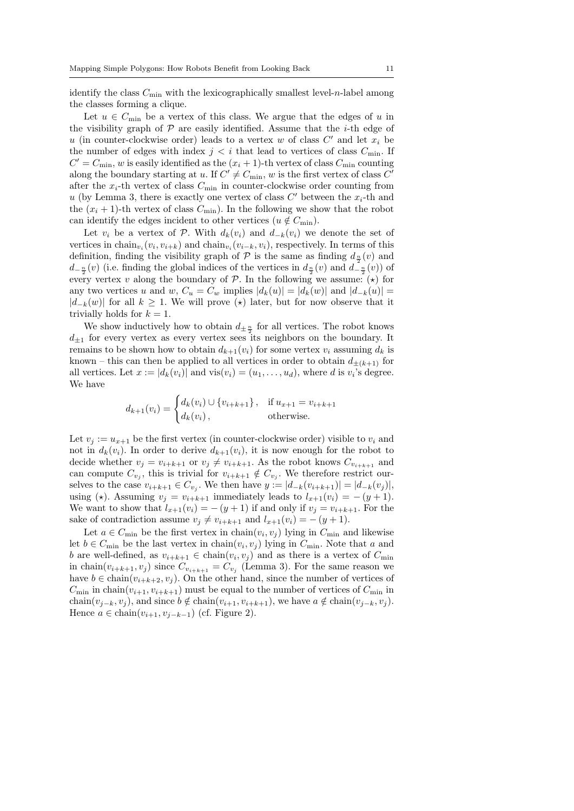identify the class  $C_{\min}$  with the lexicographically smallest level-n-label among the classes forming a clique.

Let  $u \in C_{\text{min}}$  be a vertex of this class. We argue that the edges of u in the visibility graph of  $P$  are easily identified. Assume that the *i*-th edge of u (in counter-clockwise order) leads to a vertex w of class  $C'$  and let  $x_i$  be the number of edges with index  $j < i$  that lead to vertices of class  $C_{\text{min}}$ . If  $C' = C_{\text{min}}$ , w is easily identified as the  $(x_i + 1)$ -th vertex of class  $C_{\text{min}}$  counting along the boundary starting at u. If  $C' \neq C_{\min}$ , w is the first vertex of class  $C'$ after the  $x_i$ -th vertex of class  $C_{\text{min}}$  in counter-clockwise order counting from u (by Lemma 3, there is exactly one vertex of class  $C'$  between the  $x_i$ -th and the  $(x_i + 1)$ -th vertex of class  $C_{\text{min}}$ ). In the following we show that the robot can identify the edges incident to other vertices  $(u \notin C_{\text{min}})$ .

Let  $v_i$  be a vertex of P. With  $d_k(v_i)$  and  $d_{-k}(v_i)$  we denote the set of vertices in chain<sub>v<sub>i</sub></sub> $(v_i, v_{i+k})$  and chain<sub>v<sub>i</sub></sub> $(v_{i-k}, v_i)$ , respectively. In terms of this definition, finding the visibility graph of  $P$  is the same as finding  $d_{\frac{n}{2}}(v)$  and  $d_{-\frac{n}{2}}(v)$  (i.e. finding the global indices of the vertices in  $d_{\frac{n}{2}}(v)$  and  $d_{-\frac{n}{2}}(v)$ ) of every vertex v along the boundary of  $P$ . In the following we assume: (\*) for any two vertices u and w,  $C_u = C_w$  implies  $|d_k(u)| = |d_k(w)|$  and  $|d_{-k}(u)| =$  $|d_{-k}(w)|$  for all  $k \geq 1$ . We will prove (\*) later, but for now observe that it trivially holds for  $k = 1$ .

We show inductively how to obtain  $d_{\pm \frac{n}{2}}$  for all vertices. The robot knows  $d_{\pm 1}$  for every vertex as every vertex sees its neighbors on the boundary. It remains to be shown how to obtain  $d_{k+1}(v_i)$  for some vertex  $v_i$  assuming  $d_k$  is known – this can then be applied to all vertices in order to obtain  $d_{\pm(k+1)}$  for all vertices. Let  $x := |d_k(v_i)|$  and  $vis(v_i) = (u_1, \ldots, u_d)$ , where d is  $v_i$ 's degree. We have

$$
d_{k+1}(v_i) = \begin{cases} d_k(v_i) \cup \{v_{i+k+1}\}, & \text{if } u_{x+1} = v_{i+k+1} \\ d_k(v_i), & \text{otherwise.} \end{cases}
$$

Let  $v_i := u_{x+1}$  be the first vertex (in counter-clockwise order) visible to  $v_i$  and not in  $d_k(v_i)$ . In order to derive  $d_{k+1}(v_i)$ , it is now enough for the robot to decide whether  $v_j = v_{i+k+1}$  or  $v_j \neq v_{i+k+1}$ . As the robot knows  $C_{v_{i+k+1}}$  and can compute  $C_{v_i}$ , this is trivial for  $v_{i+k+1} \notin C_{v_i}$ . We therefore restrict ourselves to the case  $v_{i+k+1}$  ∈  $C_{v_i}$ . We then have  $y := |d_{-k}(v_{i+k+1})| = |d_{-k}(v_j)|$ , using ( $\star$ ). Assuming  $v_j = v_{i+k+1}$  immediately leads to  $l_{x+1}(v_i) = -(y+1)$ . We want to show that  $l_{x+1}(v_i) = -(y+1)$  if and only if  $v_j = v_{i+k+1}$ . For the sake of contradiction assume  $v_j \neq v_{i+k+1}$  and  $l_{x+1}(v_i) = -(y+1)$ .

Let  $a \in C_{\min}$  be the first vertex in chain $(v_i, v_j)$  lying in  $C_{\min}$  and likewise let  $b \in C_{\text{min}}$  be the last vertex in chain $(v_i, v_j)$  lying in  $C_{\text{min}}$ . Note that a and b are well-defined, as  $v_{i+k+1} \in \text{chain}(v_i, v_j)$  and as there is a vertex of  $C_{\text{min}}$ in chain $(v_{i+k+1}, v_j)$  since  $C_{v_{i+k+1}} = C_{v_j}$  (Lemma 3). For the same reason we have  $b \in \text{chain}(v_{i+k+2}, v_j)$ . On the other hand, since the number of vertices of  $C_{\min}$  in chain $(v_{i+1}, v_{i+k+1})$  must be equal to the number of vertices of  $C_{\min}$  in chain $(v_{i-k}, v_i)$ , and since  $b \notin \text{chain}(v_{i+1}, v_{i+k+1})$ , we have  $a \notin \text{chain}(v_{i-k}, v_i)$ . Hence  $a \in \text{chain}(v_{i+1}, v_{j-k-1})$  (cf. Figure 2).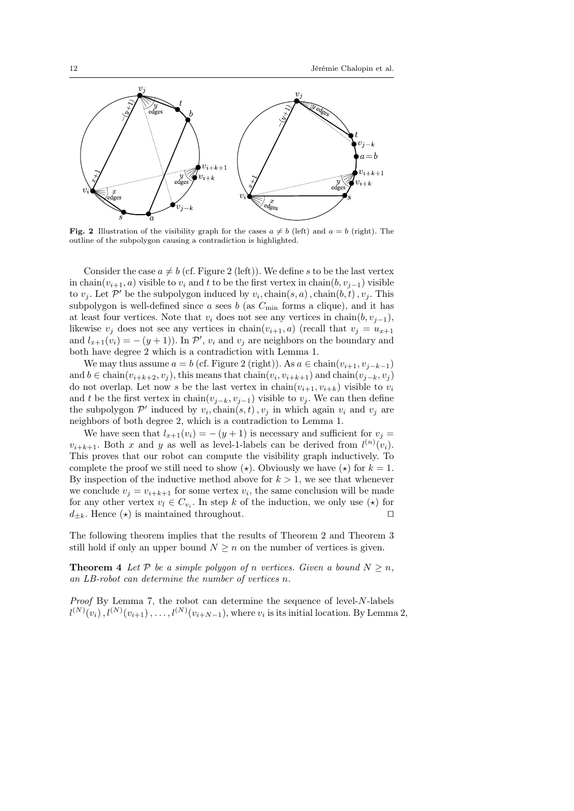

Fig. 2 Illustration of the visibility graph for the cases  $a \neq b$  (left) and  $a = b$  (right). The outline of the subpolygon causing a contradiction is highlighted.

Consider the case  $a \neq b$  (cf. Figure 2 (left)). We define s to be the last vertex in chain $(v_{i+1}, a)$  visible to  $v_i$  and t to be the first vertex in chain $(b, v_{i-1})$  visible to  $v_j$ . Let P' be the subpolygon induced by  $v_i$ , chain $(s, a)$ , chain $(b, t)$ ,  $v_j$ . This subpolygon is well-defined since a sees b (as  $C_{\text{min}}$  forms a clique), and it has at least four vertices. Note that  $v_i$  does not see any vertices in chain $(b, v_{j-1}),$ likewise  $v_i$  does not see any vertices in chain $(v_{i+1}, a)$  (recall that  $v_i = u_{x+1}$ and  $l_{x+1}(v_i) = -(y+1)$ . In  $\mathcal{P}'$ ,  $v_i$  and  $v_j$  are neighbors on the boundary and both have degree 2 which is a contradiction with Lemma 1.

We may thus assume  $a = b$  (cf. Figure 2 (right)). As  $a \in \text{chain}(v_{i+1}, v_{i-k-1})$ and  $b \in \text{chain}(v_{i+k+2}, v_i)$ , this means that  $\text{chain}(v_i, v_{i+k+1})$  and  $\text{chain}(v_{i-k}, v_i)$ do not overlap. Let now s be the last vertex in chain $(v_{i+1}, v_{i+k})$  visible to  $v_i$ and t be the first vertex in chain $(v_{i-k}, v_{i-1})$  visible to  $v_i$ . We can then define the subpolygon  $\mathcal{P}'$  induced by  $v_i$ , chain $(s, t)$ ,  $v_j$  in which again  $v_i$  and  $v_j$  are neighbors of both degree 2, which is a contradiction to Lemma 1.

We have seen that  $l_{x+1}(v_i) = -(y+1)$  is necessary and sufficient for  $v_i =$  $v_{i+k+1}$ . Both x and y as well as level-1-labels can be derived from  $l^{(n)}(v_i)$ . This proves that our robot can compute the visibility graph inductively. To complete the proof we still need to show  $(\star)$ . Obviously we have  $(\star)$  for  $k = 1$ . By inspection of the inductive method above for  $k > 1$ , we see that whenever we conclude  $v_i = v_{i+k+1}$  for some vertex  $v_i$ , the same conclusion will be made for any other vertex  $v_l \in C_{v_i}$ . In step k of the induction, we only use  $(\star)$  for  $d_{\perp k}$ . Hence  $(\star)$  is maintained throughout.  $d_{\pm k}$ . Hence  $(\star)$  is maintained throughout.

The following theorem implies that the results of Theorem 2 and Theorem 3 still hold if only an upper bound  $N \geq n$  on the number of vertices is given.

**Theorem 4** Let P be a simple polygon of n vertices. Given a bound  $N \geq n$ , an LB-robot can determine the number of vertices n.

Proof By Lemma 7, the robot can determine the sequence of level-N-labels  $l^{(N)}(v_i)$ ,  $l^{(N)}(v_{i+1}), \ldots, l^{(N)}(v_{i+N-1}),$  where  $v_i$  is its initial location. By Lemma 2,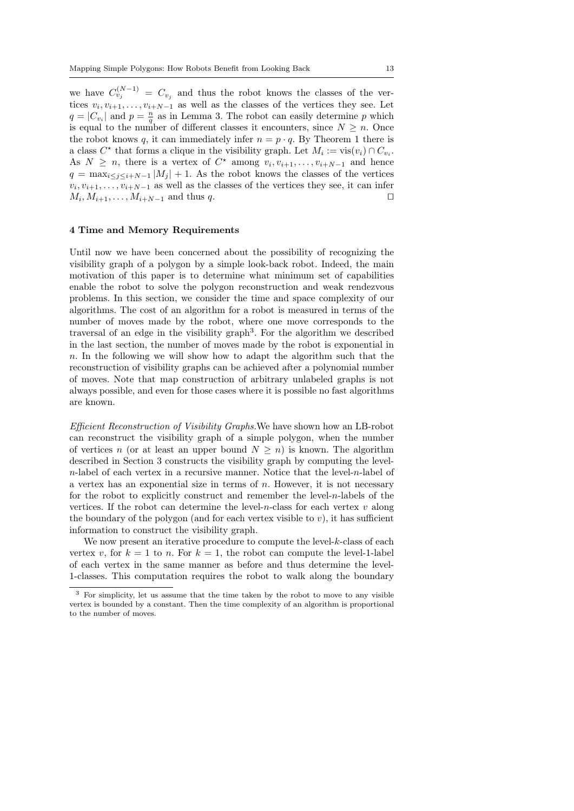we have  $C_{v_j}^{(N-1)} = C_{v_j}$  and thus the robot knows the classes of the vertices  $v_i, v_{i+1}, \ldots, v_{i+N-1}$  as well as the classes of the vertices they see. Let  $q = |C_{v_i}|$  and  $p = \frac{n}{q}$  as in Lemma 3. The robot can easily determine p which is equal to the number of different classes it encounters, since  $N \geq n$ . Once the robot knows q, it can immediately infer  $n = p \cdot q$ . By Theorem 1 there is a class  $C^*$  that forms a clique in the visibility graph. Let  $M_i := \text{vis}(v_i) \cap C_{v_i}$ . As  $N \geq n$ , there is a vertex of  $C^*$  among  $v_i, v_{i+1}, \ldots, v_{i+N-1}$  and hence  $q = \max_{i \leq j \leq i+N-1} |M_j| + 1$ . As the robot knows the classes of the vertices  $v_i, v_{i+1}, \ldots, v_{i+N-1}$  as well as the classes of the vertices they see, it can infer  $M_i, M_{i+1}, \ldots, M_{i+N-1}$  and thus  $q$ .  $M_i, M_{i+1}, \ldots, M_{i+N-1}$  and thus q.

#### 4 Time and Memory Requirements

Until now we have been concerned about the possibility of recognizing the visibility graph of a polygon by a simple look-back robot. Indeed, the main motivation of this paper is to determine what minimum set of capabilities enable the robot to solve the polygon reconstruction and weak rendezvous problems. In this section, we consider the time and space complexity of our algorithms. The cost of an algorithm for a robot is measured in terms of the number of moves made by the robot, where one move corresponds to the traversal of an edge in the visibility graph<sup>3</sup>. For the algorithm we described in the last section, the number of moves made by the robot is exponential in n. In the following we will show how to adapt the algorithm such that the reconstruction of visibility graphs can be achieved after a polynomial number of moves. Note that map construction of arbitrary unlabeled graphs is not always possible, and even for those cases where it is possible no fast algorithms are known.

Efficient Reconstruction of Visibility Graphs.We have shown how an LB-robot can reconstruct the visibility graph of a simple polygon, when the number of vertices n (or at least an upper bound  $N \geq n$ ) is known. The algorithm described in Section 3 constructs the visibility graph by computing the level $n$ -label of each vertex in a recursive manner. Notice that the level- $n$ -label of a vertex has an exponential size in terms of  $n$ . However, it is not necessary for the robot to explicitly construct and remember the level-n-labels of the vertices. If the robot can determine the level-n-class for each vertex  $v$  along the boundary of the polygon (and for each vertex visible to  $v$ ), it has sufficient information to construct the visibility graph.

We now present an iterative procedure to compute the level-k-class of each vertex v, for  $k = 1$  to n. For  $k = 1$ , the robot can compute the level-1-label of each vertex in the same manner as before and thus determine the level-1-classes. This computation requires the robot to walk along the boundary

<sup>3</sup> For simplicity, let us assume that the time taken by the robot to move to any visible vertex is bounded by a constant. Then the time complexity of an algorithm is proportional to the number of moves.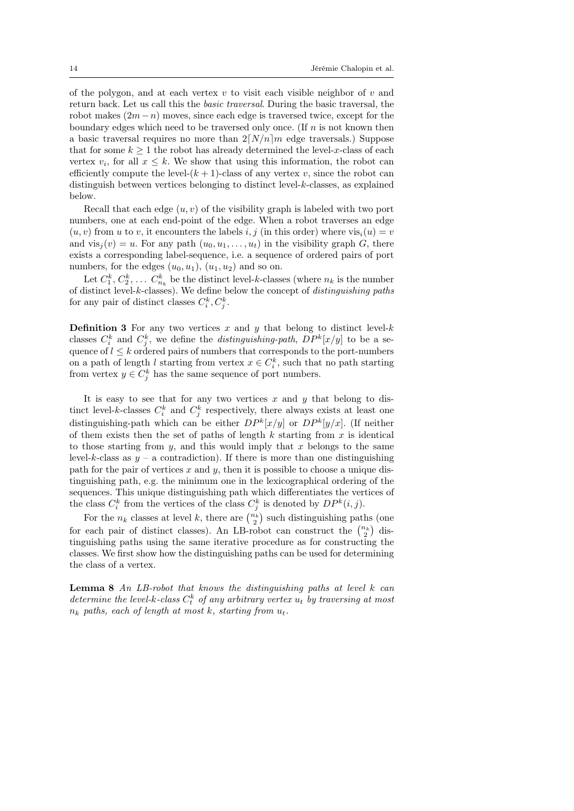of the polygon, and at each vertex  $v$  to visit each visible neighbor of  $v$  and return back. Let us call this the basic traversal. During the basic traversal, the robot makes  $(2m-n)$  moves, since each edge is traversed twice, except for the boundary edges which need to be traversed only once. (If  $n$  is not known then a basic traversal requires no more than  $2[N/n]m$  edge traversals.) Suppose that for some  $k \geq 1$  the robot has already determined the level-x-class of each vertex  $v_i$ , for all  $x \leq k$ . We show that using this information, the robot can efficiently compute the level- $(k + 1)$ -class of any vertex v, since the robot can distinguish between vertices belonging to distinct level-k-classes, as explained below.

Recall that each edge  $(u, v)$  of the visibility graph is labeled with two port numbers, one at each end-point of the edge. When a robot traverses an edge  $(u, v)$  from u to v, it encounters the labels i, j (in this order) where  $vis<sub>i</sub>(u) = v$ and  $vis_j(v) = u$ . For any path  $(u_0, u_1, \ldots, u_t)$  in the visibility graph G, there exists a corresponding label-sequence, i.e. a sequence of ordered pairs of port numbers, for the edges  $(u_0, u_1)$ ,  $(u_1, u_2)$  and so on.

Let  $C_1^k, C_2^k, \ldots, C_{n_k}^k$  be the distinct level-k-classes (where  $n_k$  is the number of distinct level- $k$ -classes). We define below the concept of *distinguishing paths* for any pair of distinct classes  $C_i^k, C_j^k$ .

**Definition 3** For any two vertices  $x$  and  $y$  that belong to distinct level- $k$ classes  $C_i^k$  and  $C_j^k$ , we define the *distinguishing-path*,  $DP^k[x/y]$  to be a sequence of  $l \leq k$  ordered pairs of numbers that corresponds to the port-numbers on a path of length l starting from vertex  $x \in C_i^k$ , such that no path starting from vertex  $y \in C_j^k$  has the same sequence of port numbers.

It is easy to see that for any two vertices x and y that belong to distinct level-k-classes  $C_i^k$  and  $C_j^k$  respectively, there always exists at least one distinguishing-path which can be either  $DP^{k}[x/y]$  or  $DP^{k}[y/x]$ . (If neither of them exists then the set of paths of length  $k$  starting from  $x$  is identical to those starting from  $y$ , and this would imply that  $x$  belongs to the same level-k-class as  $y - a$  contradiction). If there is more than one distinguishing path for the pair of vertices  $x$  and  $y$ , then it is possible to choose a unique distinguishing path, e.g. the minimum one in the lexicographical ordering of the sequences. This unique distinguishing path which differentiates the vertices of the class  $C_i^k$  from the vertices of the class  $C_j^k$  is denoted by  $DP^k(i, j)$ .

For the  $n_k$  classes at level k, there are  $\binom{n_k}{2}$  such distinguishing paths (one for each pair of distinct classes). An LB-robot can construct the  $\binom{n_k}{2}$  distinguishing paths using the same iterative procedure as for constructing the classes. We first show how the distinguishing paths can be used for determining the class of a vertex.

**Lemma 8** An LB-robot that knows the distinguishing paths at level  $k$  can determine the level-k-class  $C_t^k$  of any arbitrary vertex  $u_t$  by traversing at most  $n_k$  paths, each of length at most k, starting from  $u_t$ .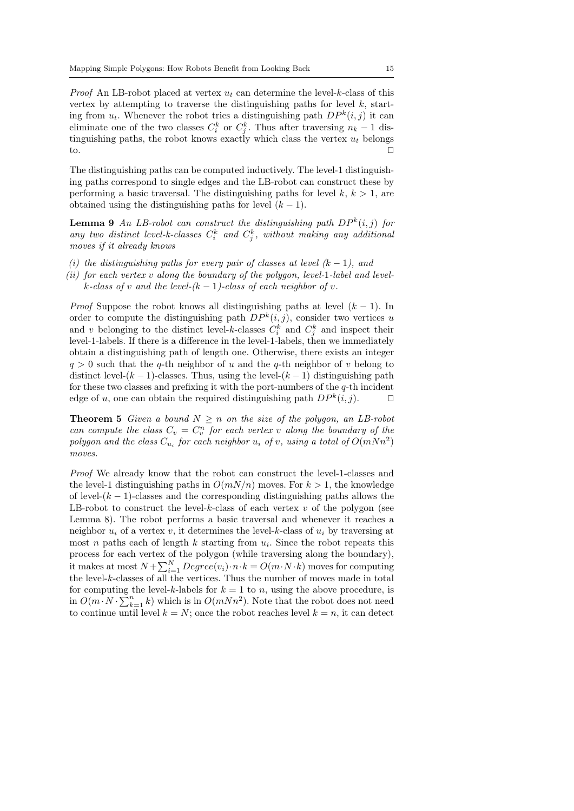*Proof* An LB-robot placed at vertex  $u_t$  can determine the level-k-class of this vertex by attempting to traverse the distinguishing paths for level  $k$ , starting from  $u_t$ . Whenever the robot tries a distinguishing path  $DP^k(i, j)$  it can eliminate one of the two classes  $C_i^k$  or  $C_j^k$ . Thus after traversing  $n_k - 1$  distinguishing paths, the robot knows exactly which class the vertex  $u_t$  belongs to.  $\Box$ 

The distinguishing paths can be computed inductively. The level-1 distinguishing paths correspond to single edges and the LB-robot can construct these by performing a basic traversal. The distinguishing paths for level  $k, k > 1$ , are obtained using the distinguishing paths for level  $(k - 1)$ .

**Lemma 9** An LB-robot can construct the distinguishing path  $DP^k(i, j)$  for any two distinct level-k-classes  $C_i^k$  and  $C_j^k$ , without making any additional moves if it already knows

- (i) the distinguishing paths for every pair of classes at level  $(k-1)$ , and
- $(ii)$  for each vertex v along the boundary of the polygon, level-1-label and levelk-class of v and the level- $(k-1)$ -class of each neighbor of v.

*Proof* Suppose the robot knows all distinguishing paths at level  $(k - 1)$ . In order to compute the distinguishing path  $DP^k(i, j)$ , consider two vertices u and v belonging to the distinct level-k-classes  $C_i^k$  and  $C_j^k$  and inspect their level-1-labels. If there is a difference in the level-1-labels, then we immediately obtain a distinguishing path of length one. Otherwise, there exists an integer  $q > 0$  such that the q-th neighbor of u and the q-th neighbor of v belong to distinct level- $(k-1)$ -classes. Thus, using the level- $(k-1)$  distinguishing path for these two classes and prefixing it with the port-numbers of the  $q$ -th incident edge of u, one can obtain the required distinguishing path  $DP^k(i, j)$ .

**Theorem 5** Given a bound  $N \geq n$  on the size of the polygon, an LB-robot can compute the class  $C_v = C_v^n$  for each vertex v along the boundary of the polygon and the class  $C_{u_i}$  for each neighbor  $u_i$  of v, using a total of  $O(mNn^2)$ moves.

Proof We already know that the robot can construct the level-1-classes and the level-1 distinguishing paths in  $O(mN/n)$  moves. For  $k > 1$ , the knowledge of level- $(k-1)$ -classes and the corresponding distinguishing paths allows the LB-robot to construct the level-k-class of each vertex  $v$  of the polygon (see Lemma 8). The robot performs a basic traversal and whenever it reaches a neighbor  $u_i$  of a vertex v, it determines the level-k-class of  $u_i$  by traversing at most n paths each of length k starting from  $u_i$ . Since the robot repeats this process for each vertex of the polygon (while traversing along the boundary), it makes at most  $N + \sum_{i=1}^{N} Degree(v_i) \cdot n \cdot k = O(m \cdot N \cdot k)$  moves for computing the level-k-classes of all the vertices. Thus the number of moves made in total for computing the level-k-labels for  $k = 1$  to n, using the above procedure, is in  $O(m \cdot N \cdot \sum_{k=1}^{n} k)$  which is in  $O(m N n^2)$ . Note that the robot does not need to continue until level  $k = N$ ; once the robot reaches level  $k = n$ , it can detect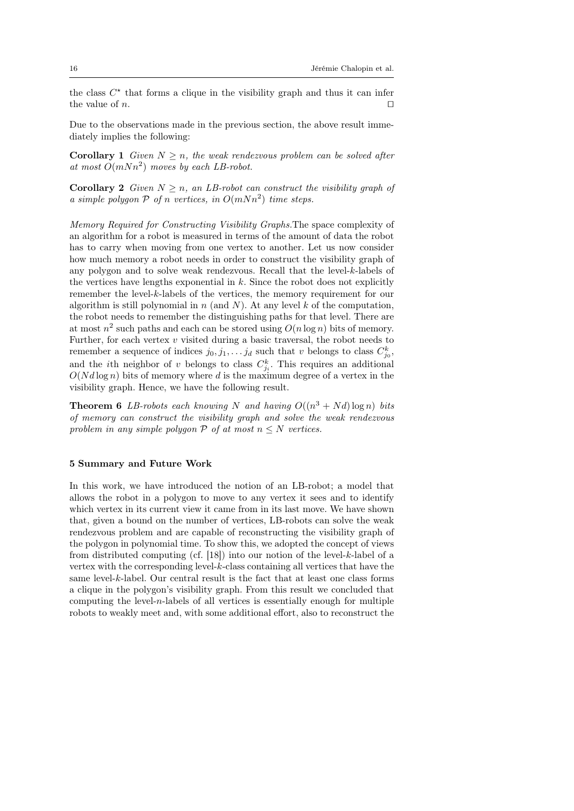the class  $C^*$  that forms a clique in the visibility graph and thus it can infer the value of n.

Due to the observations made in the previous section, the above result immediately implies the following:

**Corollary 1** Given  $N \geq n$ , the weak rendezvous problem can be solved after at most  $O(mNn^2)$  moves by each LB-robot.

**Corollary 2** Given  $N \geq n$ , an LB-robot can construct the visibility graph of a simple polygon  $P$  of n vertices, in  $O(mNn^2)$  time steps.

Memory Required for Constructing Visibility Graphs.The space complexity of an algorithm for a robot is measured in terms of the amount of data the robot has to carry when moving from one vertex to another. Let us now consider how much memory a robot needs in order to construct the visibility graph of any polygon and to solve weak rendezvous. Recall that the level-k-labels of the vertices have lengths exponential in  $k$ . Since the robot does not explicitly remember the level-k-labels of the vertices, the memory requirement for our algorithm is still polynomial in  $n$  (and N). At any level k of the computation, the robot needs to remember the distinguishing paths for that level. There are at most  $n^2$  such paths and each can be stored using  $O(n \log n)$  bits of memory. Further, for each vertex  $v$  visited during a basic traversal, the robot needs to remember a sequence of indices  $j_0, j_1, \ldots, j_d$  such that v belongs to class  $C_{j_0}^k$ , and the *i*th neighbor of v belongs to class  $C_{j_i}^k$ . This requires an additional  $O(Nd \log n)$  bits of memory where d is the maximum degree of a vertex in the visibility graph. Hence, we have the following result.

**Theorem 6** LB-robots each knowing N and having  $O((n^3 + Nd) \log n)$  bits of memory can construct the visibility graph and solve the weak rendezvous problem in any simple polygon  $P$  of at most  $n \leq N$  vertices.

# 5 Summary and Future Work

In this work, we have introduced the notion of an LB-robot; a model that allows the robot in a polygon to move to any vertex it sees and to identify which vertex in its current view it came from in its last move. We have shown that, given a bound on the number of vertices, LB-robots can solve the weak rendezvous problem and are capable of reconstructing the visibility graph of the polygon in polynomial time. To show this, we adopted the concept of views from distributed computing (cf. [18]) into our notion of the level-k-label of a vertex with the corresponding level-k-class containing all vertices that have the same level-k-label. Our central result is the fact that at least one class forms a clique in the polygon's visibility graph. From this result we concluded that computing the level- $n$ -labels of all vertices is essentially enough for multiple robots to weakly meet and, with some additional effort, also to reconstruct the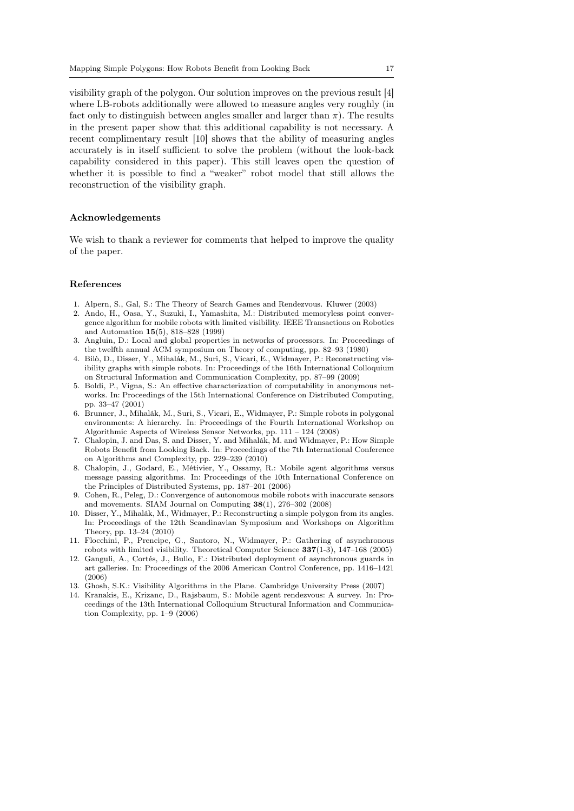visibility graph of the polygon. Our solution improves on the previous result [4] where LB-robots additionally were allowed to measure angles very roughly (in fact only to distinguish between angles smaller and larger than  $\pi$ ). The results in the present paper show that this additional capability is not necessary. A recent complimentary result [10] shows that the ability of measuring angles accurately is in itself sufficient to solve the problem (without the look-back capability considered in this paper). This still leaves open the question of whether it is possible to find a "weaker" robot model that still allows the reconstruction of the visibility graph.

#### Acknowledgements

We wish to thank a reviewer for comments that helped to improve the quality of the paper.

#### References

- 1. Alpern, S., Gal, S.: The Theory of Search Games and Rendezvous. Kluwer (2003)
- 2. Ando, H., Oasa, Y., Suzuki, I., Yamashita, M.: Distributed memoryless point convergence algorithm for mobile robots with limited visibility. IEEE Transactions on Robotics and Automation 15(5), 818–828 (1999)
- 3. Angluin, D.: Local and global properties in networks of processors. In: Proceedings of the twelfth annual ACM symposium on Theory of computing, pp. 82–93 (1980)
- 4. Bilò, D., Disser, Y., Mihalák, M., Suri, S., Vicari, E., Widmayer, P.: Reconstructing visibility graphs with simple robots. In: Proceedings of the 16th International Colloquium on Structural Information and Communication Complexity, pp. 87–99 (2009)
- 5. Boldi, P., Vigna, S.: An effective characterization of computability in anonymous networks. In: Proceedings of the 15th International Conference on Distributed Computing, pp. 33–47 (2001)
- 6. Brunner, J., Mihalák, M., Suri, S., Vicari, E., Widmayer, P.: Simple robots in polygonal environments: A hierarchy. In: Proceedings of the Fourth International Workshop on Algorithmic Aspects of Wireless Sensor Networks, pp. 111 – 124 (2008)
- 7. Chalopin, J. and Das, S. and Disser, Y. and Mihalák, M. and Widmayer, P.: How Simple Robots Benefit from Looking Back. In: Proceedings of the 7th International Conference on Algorithms and Complexity, pp. 229–239 (2010)
- 8. Chalopin, J., Godard, E., Métivier, Y., Ossamy, R.: Mobile agent algorithms versus message passing algorithms. In: Proceedings of the 10th International Conference on the Principles of Distributed Systems, pp. 187–201 (2006)
- 9. Cohen, R., Peleg, D.: Convergence of autonomous mobile robots with inaccurate sensors and movements. SIAM Journal on Computing 38(1), 276–302 (2008)
- 10. Disser, Y., Mihalák, M., Widmayer, P.: Reconstructing a simple polygon from its angles. In: Proceedings of the 12th Scandinavian Symposium and Workshops on Algorithm Theory, pp. 13–24 (2010)
- 11. Flocchini, P., Prencipe, G., Santoro, N., Widmayer, P.: Gathering of asynchronous robots with limited visibility. Theoretical Computer Science 337(1-3), 147–168 (2005)
- 12. Ganguli, A., Cortés, J., Bullo, F.: Distributed deployment of asynchronous guards in art galleries. In: Proceedings of the 2006 American Control Conference, pp. 1416–1421 (2006)
- 13. Ghosh, S.K.: Visibility Algorithms in the Plane. Cambridge University Press (2007)
- 14. Kranakis, E., Krizanc, D., Rajsbaum, S.: Mobile agent rendezvous: A survey. In: Proceedings of the 13th International Colloquium Structural Information and Communication Complexity, pp. 1–9 (2006)